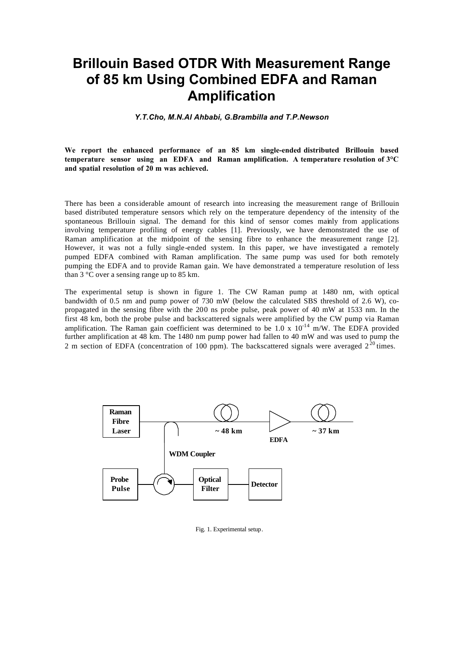## **Brillouin Based OTDR With Measurement Range of 85 km Using Combined EDFA and Raman Amplification**

*Y.T.Cho, M.N.Al Ahbabi, G.Brambilla and T.P.Newson*

**We report the enhanced performance of an 85 km single-ended distributed Brillouin based temperature sensor using an EDFA and Raman amplification. A temperature resolution of 3°C and spatial resolution of 20 m was achieved.** 

There has been a considerable amount of research into increasing the measurement range of Brillouin based distributed temperature sensors which rely on the temperature dependency of the intensity of the spontaneous Brillouin signal. The demand for this kind of sensor comes mainly from applications involving temperature profiling of energy cables [1]. Previously, we have demonstrated the use of Raman amplification at the midpoint of the sensing fibre to enhance the measurement range [2]. However, it was not a fully single-ended system. In this paper, we have investigated a remotely pumped EDFA combined with Raman amplification. The same pump was used for both remotely pumping the EDFA and to provide Raman gain. We have demonstrated a temperature resolution of less than 3 °C over a sensing range up to 85 km.

The experimental setup is shown in figure 1. The CW Raman pump at 1480 nm, with optical bandwidth of 0.5 nm and pump power of 730 mW (below the calculated SBS threshold of 2.6 W), copropagated in the sensing fibre with the 200 ns probe pulse, peak power of 40 mW at 1533 nm. In the first 48 km, both the probe pulse and backscattered signals were amplified by the CW pump via Raman amplification. The Raman gain coefficient was determined to be  $1.0 \times 10^{-14}$  m/W. The EDFA provided further amplification at 48 km. The 1480 nm pump power had fallen to 40 mW and was used to pump the 2 m section of EDFA (concentration of 100 ppm). The backscattered signals were averaged  $2^{20}$  times.



Fig. 1. Experimental setup.